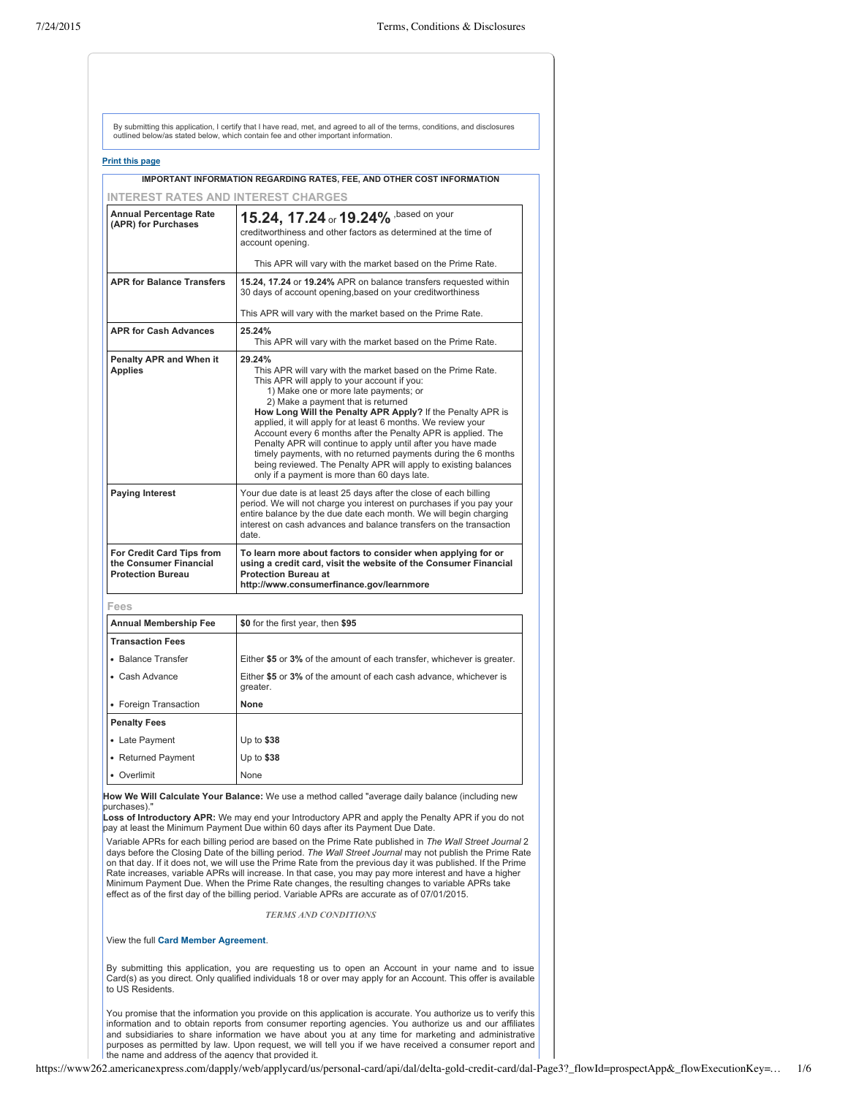| <b>Print this page</b>                                                          |                                                                                                                                                                                                                                                                                                                                                                                                                                                                                                                                                                                                                                                        |
|---------------------------------------------------------------------------------|--------------------------------------------------------------------------------------------------------------------------------------------------------------------------------------------------------------------------------------------------------------------------------------------------------------------------------------------------------------------------------------------------------------------------------------------------------------------------------------------------------------------------------------------------------------------------------------------------------------------------------------------------------|
|                                                                                 | IMPORTANT INFORMATION REGARDING RATES, FEE, AND OTHER COST INFORMATION                                                                                                                                                                                                                                                                                                                                                                                                                                                                                                                                                                                 |
| INTEREST RATES AND INTEREST CHARGES                                             |                                                                                                                                                                                                                                                                                                                                                                                                                                                                                                                                                                                                                                                        |
| <b>Annual Percentage Rate</b><br>(APR) for Purchases                            | 15.24, 17.24 or 19.24% , based on your                                                                                                                                                                                                                                                                                                                                                                                                                                                                                                                                                                                                                 |
|                                                                                 | creditworthiness and other factors as determined at the time of<br>account opening.                                                                                                                                                                                                                                                                                                                                                                                                                                                                                                                                                                    |
|                                                                                 | This APR will vary with the market based on the Prime Rate.                                                                                                                                                                                                                                                                                                                                                                                                                                                                                                                                                                                            |
| <b>APR for Balance Transfers</b>                                                | 15.24, 17.24 or 19.24% APR on balance transfers requested within<br>30 days of account opening, based on your creditworthiness                                                                                                                                                                                                                                                                                                                                                                                                                                                                                                                         |
|                                                                                 | This APR will vary with the market based on the Prime Rate.                                                                                                                                                                                                                                                                                                                                                                                                                                                                                                                                                                                            |
| <b>APR for Cash Advances</b>                                                    | 25.24%<br>This APR will vary with the market based on the Prime Rate.                                                                                                                                                                                                                                                                                                                                                                                                                                                                                                                                                                                  |
| <b>Penalty APR and When it</b><br><b>Applies</b>                                | 29.24%<br>This APR will vary with the market based on the Prime Rate.<br>This APR will apply to your account if you:<br>1) Make one or more late payments; or<br>2) Make a payment that is returned<br>How Long Will the Penalty APR Apply? If the Penalty APR is<br>applied, it will apply for at least 6 months. We review your<br>Account every 6 months after the Penalty APR is applied. The<br>Penalty APR will continue to apply until after you have made<br>timely payments, with no returned payments during the 6 months<br>being reviewed. The Penalty APR will apply to existing balances<br>only if a payment is more than 60 days late. |
| <b>Paying Interest</b>                                                          | Your due date is at least 25 days after the close of each billing<br>period. We will not charge you interest on purchases if you pay your<br>entire balance by the due date each month. We will begin charging<br>interest on cash advances and balance transfers on the transaction<br>date.                                                                                                                                                                                                                                                                                                                                                          |
| For Credit Card Tips from<br>the Consumer Financial<br><b>Protection Bureau</b> | To learn more about factors to consider when applying for or<br>using a credit card, visit the website of the Consumer Financial<br><b>Protection Bureau at</b><br>http://www.consumerfinance.gov/learnmore                                                                                                                                                                                                                                                                                                                                                                                                                                            |
| Fees                                                                            |                                                                                                                                                                                                                                                                                                                                                                                                                                                                                                                                                                                                                                                        |
| <b>Annual Membership Fee</b>                                                    | \$0 for the first year, then \$95                                                                                                                                                                                                                                                                                                                                                                                                                                                                                                                                                                                                                      |
| <b>Transaction Fees</b>                                                         |                                                                                                                                                                                                                                                                                                                                                                                                                                                                                                                                                                                                                                                        |
| • Balance Transfer                                                              | Either \$5 or 3% of the amount of each transfer, whichever is greater.                                                                                                                                                                                                                                                                                                                                                                                                                                                                                                                                                                                 |
| • Cash Advance                                                                  | Either \$5 or 3% of the amount of each cash advance, whichever is<br>greater.                                                                                                                                                                                                                                                                                                                                                                                                                                                                                                                                                                          |
| • Foreign Transaction                                                           | None                                                                                                                                                                                                                                                                                                                                                                                                                                                                                                                                                                                                                                                   |
| <b>Penalty Fees</b>                                                             |                                                                                                                                                                                                                                                                                                                                                                                                                                                                                                                                                                                                                                                        |
| • Late Payment                                                                  | Up to \$38                                                                                                                                                                                                                                                                                                                                                                                                                                                                                                                                                                                                                                             |
| • Returned Payment                                                              | Up to $$38$                                                                                                                                                                                                                                                                                                                                                                                                                                                                                                                                                                                                                                            |
| • Overlimit                                                                     | None                                                                                                                                                                                                                                                                                                                                                                                                                                                                                                                                                                                                                                                   |

Variable APRs for each billing period are based on the Prime Rate published in *The Wall Street Journal* 2<br>days before the Closing Date of the billing period. *The Wall Street Journal* may not publish the Prime Rate<br>on tha Rate increases, variable APRs will increase. In that case, you may pay more interest and have a higher Minimum Payment Due. When the Prime Rate changes, the resulting changes to variable APRs take effect as of the first day of the billing period. Variable APRs are accurate as of 07/01/2015.

# *TERMS AND CONDITIONS*

View the full **Card Member [Agreement](https://www.americanexpress.com/us/content/cardmember-agreements/all-us.html)**.

By submitting this application, you are requesting us to open an Account in your name and to issue Card(s) as you direct. Only qualified individuals 18 or over may apply for an Account. This offer is available to US Residents.

You promise that the information you provide on this application is accurate. You authorize us to verify this<br>information and to obtain reports from consumer reporting agencies. You authorize us and our affiliates<br>and subs the name and address of the agency that provided it.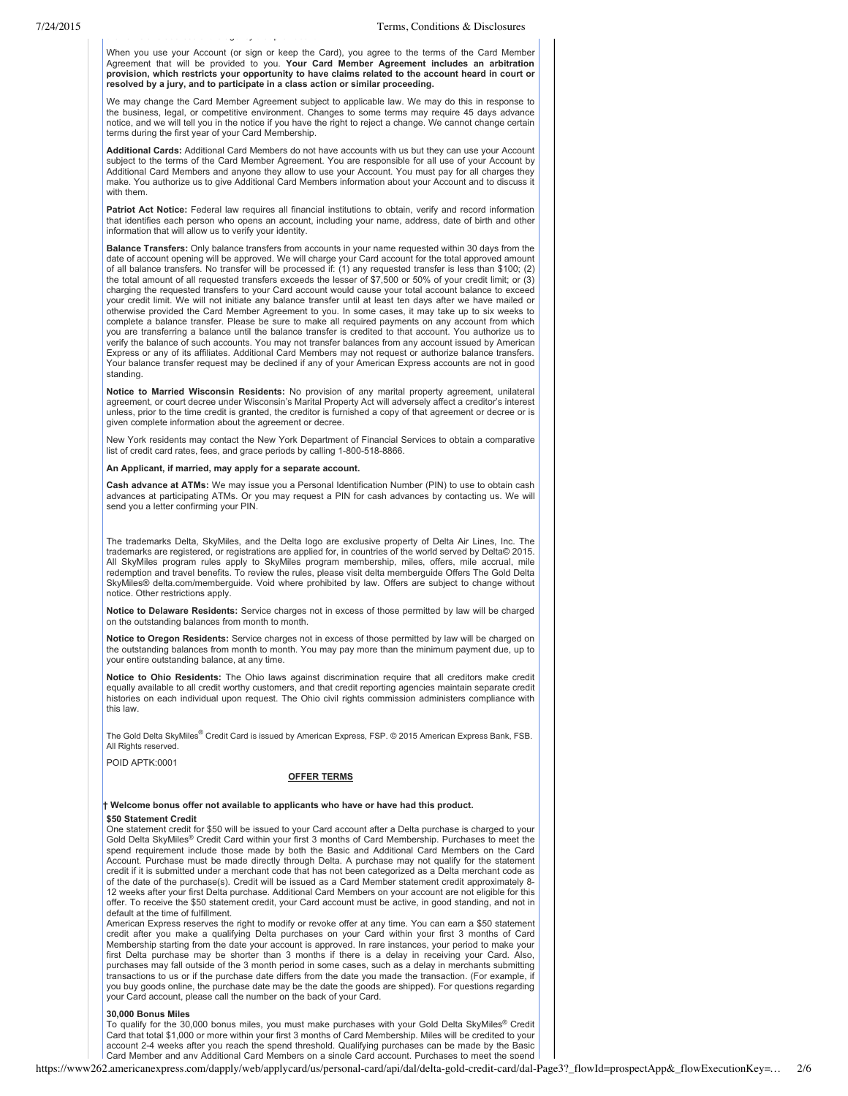When you use your Account (or sign or keep the Card), you agree to the terms of the Card Member<br>Agreement that will be provided to you. **Your Card Member Agreement includes an arbitration provision, which restricts your opportunity to have claims related to the account heard in court or resolved by a jury, and to participate in a class action or similar proceeding.**

We may change the Card Member Agreement subject to applicable law. We may do this in response to the business, legal, or competitive environment. Changes to some terms may require 45 days advance notice, and we will tell you in the notice if you have the right to reject a change. We cannot change certain terms during the first year of your Card Membership.

**Additional Cards:** Additional Card Members do not have accounts with us but they can use your Account subject to the terms of the Card Member Agreement. You are responsible for all use of your Account by Additional Card Members and anyone they allow to use your Account. You must pay for all charges they make. You authorize us to give Additional Card Members information about your Account and to discuss it with them.

**Patriot Act Notice:** Federal law requires all financial institutions to obtain, verify and record information that identifies each person who opens an account, including your name, address, date of birth and other information that will allow us to verify your identity.

**Balance Transfers:** Only balance transfers from accounts in your name requested within 30 days from the date of account opening will be approved. We will charge your Card account for the total approved amount of all balance transfers. No transfer will be processed if: (1) any requested transfer is less than \$100; (2) the total amount of all requested transfers exceeds the lesser of \$7,500 or 50% of your credit limit; or (3) charging the requested transfers to your Card account would cause your total account balance to exceed your credit limit. We will not initiate any balance transfer until at least ten days after we have mailed or otherwise provided the Card Member Agreement to you. In some cases, it may take up to six weeks to complete a balance transfer. Please be sure to make all required payments on any account from which you are transferring a balance until the balance transfer is credited to that account. You authorize us to verify the balance of such accounts. You may not transfer balances from any account issued by American Express or any of its affiliates. Additional Card Members may not request or authorize balance transfers. Your balance transfer request may be declined if any of your American Express accounts are not in good standing.

**Notice to Married Wisconsin Residents:** No provision of any marital property agreement, unilateral agreement, or court decree under Wisconsin's Marital Property Act will adversely affect a creditor's interest unless, prior to the time credit is granted, the creditor is furnished a copy of that agreement or decree or is given complete information about the agreement or decree.

New York residents may contact the New York Department of Financial Services to obtain a comparative list of credit card rates, fees, and grace periods by calling 1-800-518-8866.

## **An Applicant, if married, may apply for a separate account.**

the name and address of the agency that provided it.

**Cash advance at ATMs:** We may issue you a Personal Identification Number (PIN) to use to obtain cash advances at participating ATMs. Or you may request a PIN for cash advances by contacting us. We will send you a letter confirming your PIN.

The trademarks Delta, SkyMiles, and the Delta logo are exclusive property of Delta Air Lines, Inc. The trademarks are registered, or registrations are applied for, in countries of the world served by Delta© 2015. All SkyMiles program rules apply to SkyMiles program membership, miles, offers, mile accrual, mile redemption and travel benefits. To review the rules, please visit delta memberguide Offers The Gold Delta SkyMiles® delta.com/memberguide. Void where prohibited by law. Offers are subject to change without notice. Other restrictions apply.

**Notice to Delaware Residents:** Service charges not in excess of those permitted by law will be charged on the outstanding balances from month to month.

**Notice to Oregon Residents:** Service charges not in excess of those permitted by law will be charged on the outstanding balances from month to month. You may pay more than the minimum payment due, up to your entire outstanding balance, at any time.

**Notice to Ohio Residents:** The Ohio laws against discrimination require that all creditors make credit equally available to all credit worthy customers, and that credit reporting agencies maintain separate credit histories on each individual upon request. The Ohio civil rights commission administers compliance with this law.

The Gold Delta SkyMiles® Credit Card is issued by American Express, FSP. © 2015 American Express Bank, FSB. All Rights reserved.

POID APTK:0001

# **OFFER TERMS**

# **† Welcome bonus offer not available to applicants who have or have had this product. \$50 Statement Credit**

One statement credit for \$50 will be issued to your Card account after a Delta purchase is charged to your Gold Delta SkyMiles® Credit Card within your first 3 months of Card Membership. Purchases to meet the spend requirement include those made by both the Basic and Additional Card Members on the Card Account. Purchase must be made directly through Delta. A purchase may not qualify for the statement credit if it is submitted under a merchant code that has not been categorized as a Delta merchant code as of the date of the purchase(s). Credit will be issued as a Card Member statement credit approximately 8 12 weeks after your first Delta purchase. Additional Card Members on your account are not eligible for this offer. To receive the \$50 statement credit, your Card account must be active, in good standing, and not in default at the time of fulfillment.

American Express reserves the right to modify or revoke offer at any time. You can earn a \$50 statement credit after you make a qualifying Delta purchases on your Card within your first 3 months of Card Membership starting from the date your account is approved. In rare instances, your period to make your first Delta purchase may be shorter than 3 months if there is a delay in receiving your Card. Also, purchases may fall outside of the 3 month period in some cases, such as a delay in merchants submitting transactions to us or if the purchase date differs from the date you made the transaction. (For example, if you buy goods online, the purchase date may be the date the goods are shipped). For questions regarding your Card account, please call the number on the back of your Card.

# **30,000 Bonus Miles**

To qualify for the 30,000 bonus miles, you must make purchases with your Gold Delta SkyMiles® Credit Card that total \$1,000 or more within your first 3 months of Card Membership. Miles will be credited to your account 24 weeks after you reach the spend threshold. Qualifying purchases can be made by the Basic Card Member and any Additional Card Members on a single Card account. Purchases to meet the spend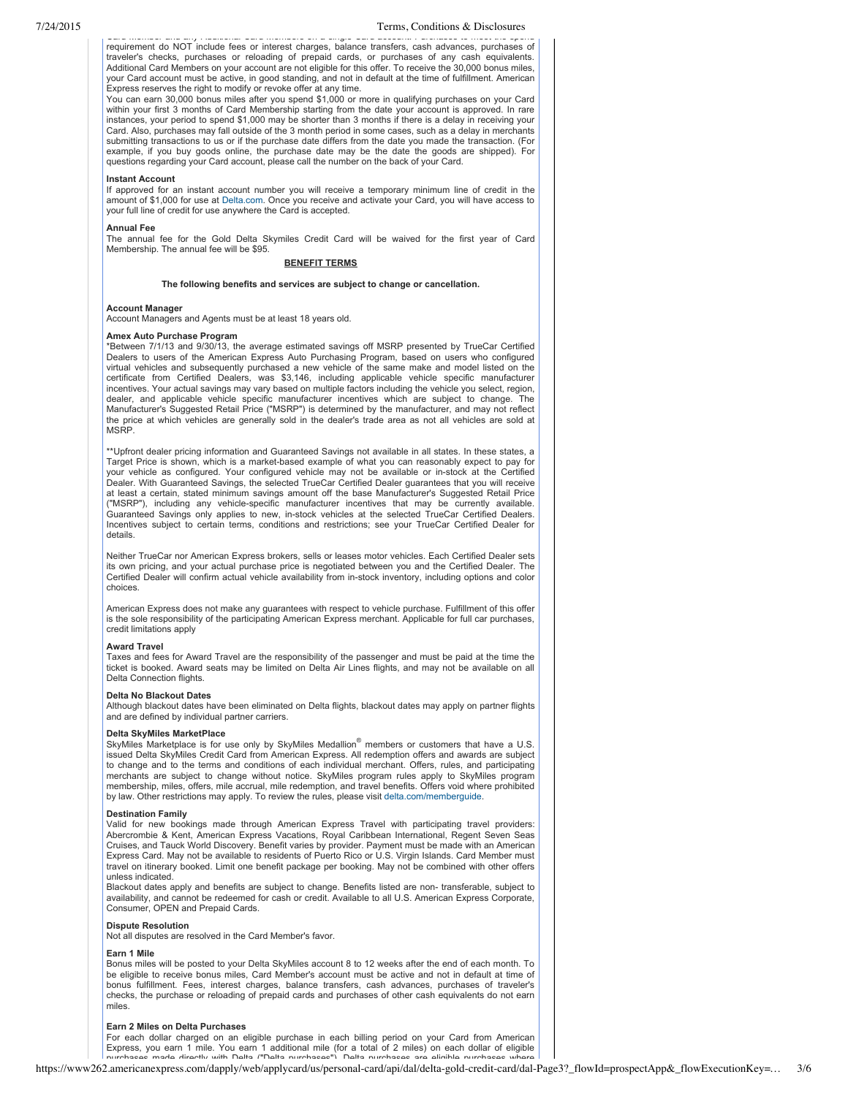Card Member and any Additional Card Members on a single Card account. Purchases to meet the spend requirement do NOT include fees or interest charges, balance transfers, cash advances, purchases of traveler's checks, purchases or reloading of prepaid cards, or purchases of any cash equivalents. Additional Card Members on your account are not eligible for this offer. To receive the 30,000 bonus miles, your Card account must be active, in good standing, and not in default at the time of fulfillment. American Express reserves the right to modify or revoke offer at any time.

You can earn 30,000 bonus miles after you spend \$1,000 or more in qualifying purchases on your Card within your first 3 months of Card Membership starting from the date your account is approved. In rare instances, your period to spend \$1,000 may be shorter than 3 months if there is a delay in receiving your Card. Also, purchases may fall outside of the 3 month period in some cases, such as a delay in merchants submitting transactions to us or if the purchase date differs from the date you made the transaction. (For example, if you buy goods online, the purchase date may be the date the goods are shipped). For questions regarding your Card account, please call the number on the back of your Card.

## **Instant Account**

If approved for an instant account number you will receive a temporary minimum line of credit in the amount of \$1,000 for use at [Delta.com.](https://www.delta.com/) Once you receive and activate your Card, you will have access to your full line of credit for use anywhere the Card is accepted.

## **Annual Fee**

The annual fee for the Gold Delta Skymiles Credit Card will be waived for the first year of Card Membership. The annual fee will be \$95.

# **BENEFIT TERMS**

# **The following benefits and services are subject to change or cancellation.**

#### **Account Manager**

Account Managers and Agents must be at least 18 years old.

# **Amex Auto Purchase Program**

\*Between 7/1/13 and 9/30/13, the average estimated savings off MSRP presented by TrueCar Certified Dealers to users of the American Express Auto Purchasing Program, based on users who configured virtual vehicles and subsequently purchased a new vehicle of the same make and model listed on the certificate from Certified Dealers, was \$3,146, including applicable vehicle specific manufacturer incentives. Your actual savings may vary based on multiple factors including the vehicle you select, region, dealer, and applicable vehicle specific manufacturer incentives which are subject to change. The Manufacturer's Suggested Retail Price ("MSRP") is determined by the manufacturer, and may not reflect the price at which vehicles are generally sold in the dealer's trade area as not all vehicles are sold at MSRP.

\*\*Upfront dealer pricing information and Guaranteed Savings not available in all states. In these states, a Target Price is shown, which is a market-based example of what you can reasonably expect to pay for your vehicle as configured. Your configured vehicle may not be available or instock at the Certified Dealer. With Guaranteed Savings, the selected TrueCar Certified Dealer guarantees that you will receive at least a certain, stated minimum savings amount off the base Manufacturer's Suggested Retail Price ("MSRP"), including any vehiclespecific manufacturer incentives that may be currently available. Guaranteed Savings only applies to new, instock vehicles at the selected TrueCar Certified Dealers. Incentives subject to certain terms, conditions and restrictions; see your TrueCar Certified Dealer for details.

Neither TrueCar nor American Express brokers, sells or leases motor vehicles. Each Certified Dealer sets its own pricing, and your actual purchase price is negotiated between you and the Certified Dealer. The Certified Dealer will confirm actual vehicle availability from in-stock inventory, including options and color choices.

American Express does not make any guarantees with respect to vehicle purchase. Fulfillment of this offer is the sole responsibility of the participating American Express merchant. Applicable for full car purchases, credit limitations apply

## **Award Travel**

Taxes and fees for Award Travel are the responsibility of the passenger and must be paid at the time the ticket is booked. Award seats may be limited on Delta Air Lines flights, and may not be available on all Delta Connection flights.

#### **Delta No Blackout Dates**

Although blackout dates have been eliminated on Delta flights, blackout dates may apply on partner flights and are defined by individual partner carriers.

# **Delta SkyMiles MarketPlace**

SkyMiles Marketplace is for use only by SkyMiles Medallion<sup>®</sup> members or customers that have a U.S. issued Delta SkyMiles Credit Card from American Express. All redemption offers and awards are subject to change and to the terms and conditions of each individual merchant. Offers, rules, and participating merchants are subject to change without notice. SkyMiles program rules apply to SkyMiles program membership, miles, offers, mile accrual, mile redemption, and travel benefits. Offers void where prohibited by law. Other restrictions may apply. To review the rules, please visit [delta.com/memberguide.](https://www.delta.com/memberguide)

## **Destination Family**

Valid for new bookings made through American Express Travel with participating travel providers: Abercrombie & Kent, American Express Vacations, Royal Caribbean International, Regent Seven Seas Cruises, and Tauck World Discovery. Benefit varies by provider. Payment must be made with an American Express Card. May not be available to residents of Puerto Rico or U.S. Virgin Islands. Card Member must travel on itinerary booked. Limit one benefit package per booking. May not be combined with other offers unless indicated.

Blackout dates apply and benefits are subject to change. Benefits listed are non-transferable, subject to availability, and cannot be redeemed for cash or credit. Available to all U.S. American Express Corporate, Consumer, OPEN and Prepaid Cards.

## **Dispute Resolution**

Not all disputes are resolved in the Card Member's favor.

# **Earn 1 Mile**

Bonus miles will be posted to your Delta SkyMiles account 8 to 12 weeks after the end of each month. To be eligible to receive bonus miles, Card Member's account must be active and not in default at time of bonus fulfillment. Fees, interest charges, balance transfers, cash advances, purchases of traveler's checks, the purchase or reloading of prepaid cards and purchases of other cash equivalents do not earn miles.

# **Earn 2 Miles on Delta Purchases**

For each dollar charged on an eligible purchase in each billing period on your Card from American Express, you earn 1 mile. You earn 1 additional mile (for a total of 2 miles) on each dollar of eligible burchases where it also the current of the purchases where it also the current of the current of the current of the c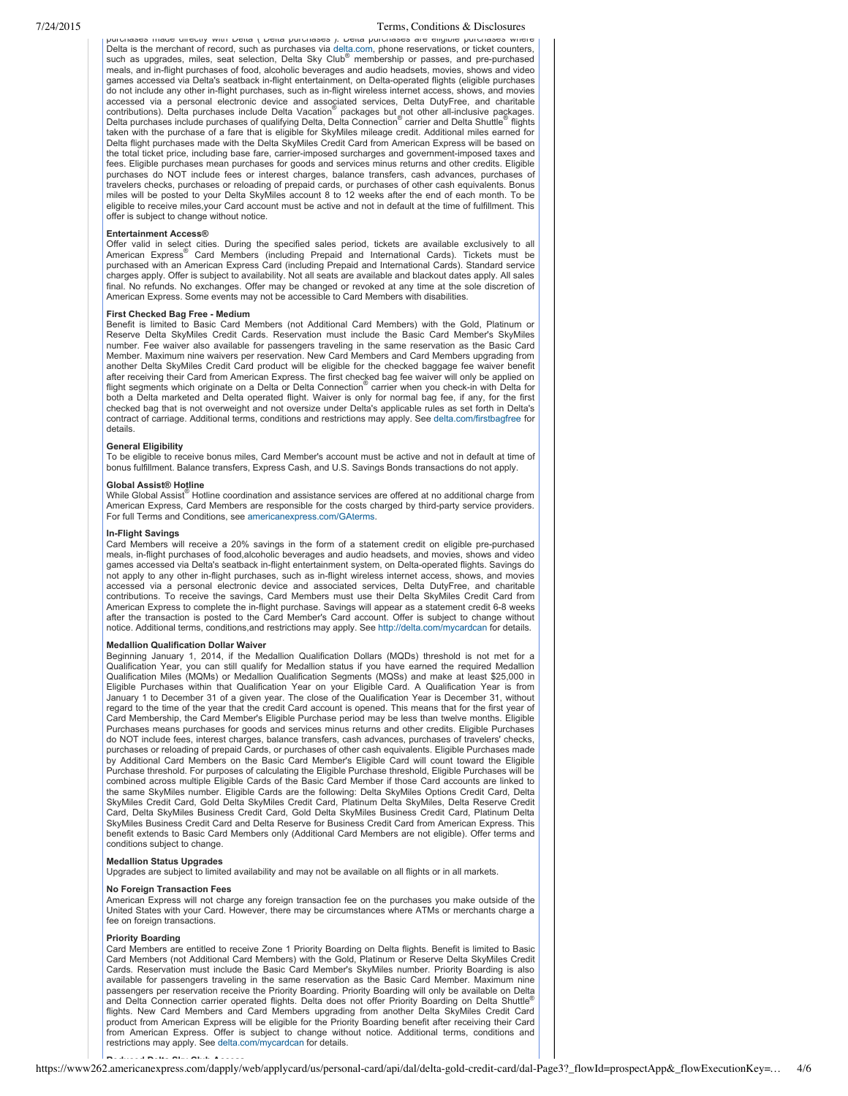# 7/24/2015 Terms, Conditions & Disclosures

purchases made directly with Delta ("Delta purchases"). Delta purchases are eligible purchases where Delta is the merchant of record, such as purchases via [delta.com](http://www.delta.com/), phone reservations, or ticket counters, such as upgrades, miles, seat selection, Delta Sky Club<sup>®</sup> membership or passes, and pre-purchased meals, and in-flight purchases of food, alcoholic beverages and audio headsets, movies, shows and video games accessed via Delta's seatback in-flight entertainment, on Delta-operated flights (eligible purchases do not include any other inflight purchases, such as inflight wireless internet access, shows, and movies accessed via a personal electronic device and associated services, Delta DutyFree, and charitable<br>contributions). Delta purchases include Delta Vacation® packages but not other all-inclusive packages.<br>Delta purchases inclu taken with the purchase of a fare that is eligible for SkyMiles mileage credit. Additional miles earned for Delta flight purchases made with the Delta SkyMiles Credit Card from American Express will be based on the total ticket price, including base fare, carrier-imposed surcharges and government-imposed taxes and fees. Eligible purchases mean purchases for goods and services minus returns and other credits. Eligible purchases do NOT include fees or interest charges, balance transfers, cash advances, purchases of travelers checks, purchases or reloading of prepaid cards, or purchases of other cash equivalents. Bonus miles will be posted to your Delta SkyMiles account 8 to 12 weeks after the end of each month. To be eligible to receive miles,your Card account must be active and not in default at the time of fulfillment. This offer is subject to change without notice.

## **Entertainment Access®**

Offer valid in select cities. During the specified sales period, tickets are available exclusively to all<br>American Express® Card Members (including Prepaid and International Cards). Tickets must be purchased with an American Express Card (including Prepaid and International Cards). Standard service charges apply. Offer is subject to availability. Not all seats are available and blackout dates apply. All sales final. No refunds. No exchanges. Offer may be changed or revoked at any time at the sole discretion of American Express. Some events may not be accessible to Card Members with disabilities.

# **First Checked Bag Free Medium**

Benefit is limited to Basic Card Members (not Additional Card Members) with the Gold, Platinum or Reserve Delta SkyMiles Credit Cards. Reservation must include the Basic Card Member's SkyMiles number. Fee waiver also available for passengers traveling in the same reservation as the Basic Card Member. Maximum nine waivers per reservation. New Card Members and Card Members upgrading from another Delta SkyMiles Credit Card product will be eligible for the checked baggage fee waiver benefit after receiving their Card from American Express. The first checked bag fee waiver will only be applied on flight segments which originate on a Delta or Delta Connection® carrier when you check-in with Delta for both a Delta marketed and Delta operated flight. Waiver is only for normal bag fee, if any, for the first checked bag that is not overweight and not oversize under Delta's applicable rules as set forth in Delta's contract of carriage. Additional terms, conditions and restrictions may apply. See [delta.com/firstbagfree](https://www.delta.com/firstbagfree) for details.

# **General Eligibility**

To be eligible to receive bonus miles, Card Member's account must be active and not in default at time of bonus fulfillment. Balance transfers, Express Cash, and U.S. Savings Bonds transactions do not apply.

# **Global Assist® Hotline**

While Global Assist<sup>®</sup> Hotline coordination and assistance services are offered at no additional charge from American Express, Card Members are responsible for the costs charged by third-party service providers. For full Terms and Conditions, see [americanexpress.com/GAterms.](http://www.americanexpress.com/GAterms)

# **InFlight Savings**

Card Members will receive a 20% savings in the form of a statement credit on eligible pre-purchased meals, in-flight purchases of food,alcoholic beverages and audio headsets, and movies, shows and video games accessed via Delta's seatback in-flight entertainment system, on Delta-operated flights. Savings do not apply to any other in-flight purchases, such as in-flight wireless internet access, shows, and movies accessed via a personal electronic device and associated services, Delta DutyFree, and charitable contributions. To receive the savings, Card Members must use their Delta SkyMiles Credit Card from American Express to complete the in-flight purchase. Savings will appear as a statement credit 6-8 weeks after the transaction is posted to the Card Member's Card account. Offer is subject to change without notice. Additional terms, conditions,and restrictions may apply. See <http://delta.com/mycardcan> for details.

# **Medallion Qualification Dollar Waiver**

Beginning January 1, 2014, if the Medallion Qualification Dollars (MQDs) threshold is not met for a Qualification Year, you can still qualify for Medallion status if you have earned the required Medallion Qualification Miles (MQMs) or Medallion Qualification Segments (MQSs) and make at least \$25,000 in Eligible Purchases within that Qualification Year on your Eligible Card. A Qualification Year is from January 1 to December 31 of a given year. The close of the Qualification Year is December 31, without regard to the time of the year that the credit Card account is opened. This means that for the first year of Card Membership, the Card Member's Eligible Purchase period may be less than twelve months. Eligible Purchases means purchases for goods and services minus returns and other credits. Eligible Purchases do NOT include fees, interest charges, balance transfers, cash advances, purchases of travelers' checks,<br>purchases or reloading of prepaid Cards, or purchases of other cash equivalents. Eligible Purchases made<br>by Additiona Purchase threshold. For purposes of calculating the Eligible Purchase threshold, Eligible Purchases will be combined across multiple Eligible Cards of the Basic Card Member if those Card accounts are linked to the same SkyMiles number. Eligible Cards are the following: Delta SkyMiles Options Credit Card, Delta SkyMiles Credit Card, Gold Delta SkyMiles Credit Card, Platinum Delta SkyMiles, Delta Reserve Credit Card, Delta SkyMiles Business Credit Card, Gold Delta SkyMiles Business Credit Card, Platinum Delta SkyMiles Business Credit Card and Delta Reserve for Business Credit Card from American Express. This benefit extends to Basic Card Members only (Additional Card Members are not eligible). Offer terms and conditions subject to change.

# **Medallion Status Upgrades**

Upgrades are subject to limited availability and may not be available on all flights or in all markets.

## **No Foreign Transaction Fees**

American Express will not charge any foreign transaction fee on the purchases you make outside of the United States with your Card. However, there may be circumstances where ATMs or merchants charge a fee on foreign transactions.

# **Priority Boarding**

Card Members are entitled to receive Zone 1 Priority Boarding on Delta flights. Benefit is limited to Basic Card Members (not Additional Card Members) with the Gold, Platinum or Reserve Delta SkyMiles Credit Cards. Reservation must include the Basic Card Member's SkyMiles number. Priority Boarding is also available for passengers traveling in the same reservation as the Basic Card Member. Maximum nine passengers per reservation receive the Priority Boarding. Priority Boarding will only be available on Delta and Delta Connection carrier operated flights. Delta does not offer Priority Boarding on Delta Shuttle ® flights. New Card Members and Card Members upgrading from another Delta SkyMiles Credit Card product from American Express will be eligible for the Priority Boarding benefit after receiving their Card from American Express. Offer is subject to change without notice. Additional terms, conditions and restrictions may apply. See [delta.com/mycardcan](http://www.delta.com/mycardcan) for details.

# https://www262.americanexpress.com/dapply/web/applycard/us/personal-card/api/dal/delta-gold-credit-card/dal-Page3?\_flowId=prospectApp&\_flowExecutionKey=… 4/6 **Reduced Delta Sky Club Access**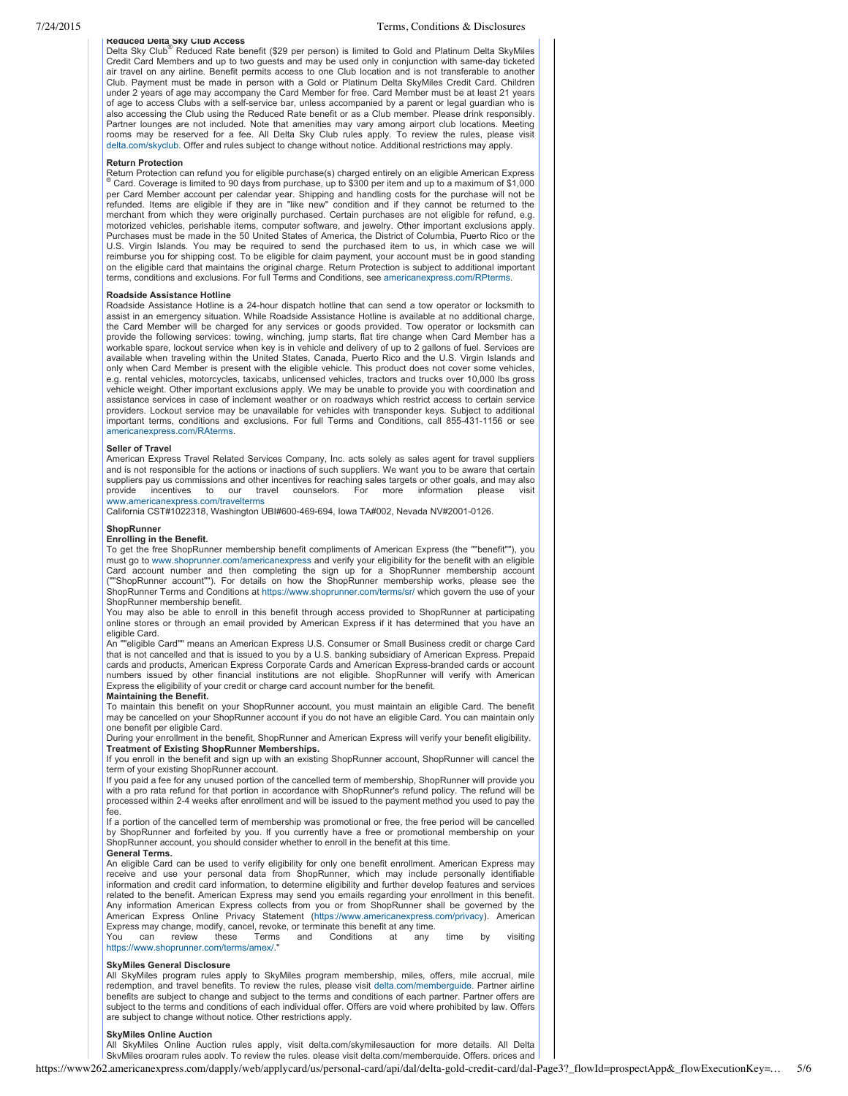# 7/24/2015 Terms, Conditions & Disclosures

**Reduced Delta Sky Club Access** Delta Sky Club<sup>®</sup> Reduced Rate benefit (\$29 per person) is limited to Gold and Platinum Delta SkyMiles Credit Card Members and up to two guests and may be used only in conjunction with same-day ticketed air travel on any airline. Benefit permits access to one Club location and is not transferable to another Club. Payment must be made in person with a Gold or Platinum Delta SkyMiles Credit Card. Children under 2 years of age may accompany the Card Member for free. Card Member must be at least 21 years of age to access Clubs with a self-service bar, unless accompanied by a parent or legal guardian who is also accessing the Club using the Reduced Rate benefit or as a Club member. Please drink responsibly. Partner lounges are not included. Note that amenities may vary among airport club locations. Meeting rooms may be reserved for a fee. All Delta Sky Club rules apply. To review the rules, please visit [delta.com/skyclub.](https://www.delta.com/skyclub) Offer and rules subject to change without notice. Additional restrictions may apply.

## **Return Protection**

Return Protection can refund you for eligible purchase(s) charged entirely on an eligible American Express **in the State and an eligible American Express** (81.000 per item and up to a maximum of \$1,000 per item and up to a per Card Member account per calendar year. Shipping and handling costs for the purchase will not be refunded. Items are eligible if they are in "like new" condition and if they cannot be returned to the merchant from which they were originally purchased. Certain purchases are not eligible for refund, e.g. motorized vehicles, perishable items, computer software, and jewelry. Other important exclusions apply. Purchases must be made in the 50 United States of America, the District of Columbia, Puerto Rico or the U.S. Virgin Islands. You may be required to send the purchased item to us, in which case we will reimburse you for shipping cost. To be eligible for claim payment, your account must be in good standing on the eligible card that maintains the original charge. Return Protection is subject to additional important terms, conditions and exclusions. For full Terms and Conditions, see [americanexpress.com/RPterms.](http://www.americanexpress.com/RPterms)

## **Roadside Assistance Hotline**

Roadside Assistance Hotline is a 24hour dispatch hotline that can send a tow operator or locksmith to assist in an emergency situation. While Roadside Assistance Hotline is available at no additional charge, the Card Member will be charged for any services or goods provided. Tow operator or locksmith can provide the following services: towing, winching, jump starts, flat tire change when Card Member has a workable spare, lockout service when key is in vehicle and delivery of up to 2 gallons of fuel. Services are available when traveling within the United States, Canada, Puerto Rico and the U.S. Virgin Islands and only when Card Member is present with the eligible vehicle. This product does not cover some vehicles, e.g. rental vehicles, motorcycles, taxicabs, unlicensed vehicles, tractors and trucks over 10,000 lbs gross vehicle weight. Other important exclusions apply. We may be unable to provide you with coordination and assistance services in case of inclement weather or on roadways which restrict access to certain service providers. Lockout service may be unavailable for vehicles with transponder keys. Subject to additional important terms, conditions and exclusions. For full Terms and Conditions, call 855-431-1156 or see [americanexpress.com/RAterms.](http://www.americanexpress.com/RAterms)

# **Seller of Travel**

American Express Travel Related Services Company, Inc. acts solely as sales agent for travel suppliers and is not responsible for the actions or inactions of such suppliers. We want you to be aware that certain suppliers pay us commissions and other incentives for reaching sales targets or other goals, and may also<br>provide incentives to our travel counselors. For more information please visit provide incentives to our travel counselors. For more information please visit [www.americanexpress.com/travelterms](https://www.americanexpress.com/travelterms)

California CST#1022318, Washington UBI#600-469-694, Iowa TA#002, Nevada NV#2001-0126.

#### **ShopRunner**

# **Enrolling in the Benefit.**

To get the free ShopRunner membership benefit compliments of American Express (the ""benefit""), you must go to [www.shoprunner.com/americanexpress](http://www.shoprunner.com/americanexpress) and verify your eligibility for the benefit with an eligible Card account number and then completing the sign up for a ShopRunner membership account (""ShopRunner account""). For details on how the ShopRunner membership works, please see the ShopRunner Terms and Conditions at <https://www.shoprunner.com/terms/sr/> which govern the use of your ShopRunner membership benefit.

You may also be able to enroll in this benefit through access provided to ShopRunner at participating online stores or through an email provided by American Express if it has determined that you have an eligible Card.

An ""eligible Card"" means an American Express U.S. Consumer or Small Business credit or charge Card that is not cancelled and that is issued to you by a U.S. banking subsidiary of American Express. Prepaid cards and products, American Express Corporate Cards and American Express-branded cards or account numbers issued by other financial institutions are not eligible. ShopRunner will verify with American Express the eligibility of your credit or charge card account number for the benefit. **Maintaining the Benefit.**

To maintain this benefit on your ShopRunner account, you must maintain an eligible Card. The benefit may be cancelled on your ShopRunner account if you do not have an eligible Card. You can maintain only one benefit per eligible Card.

During your enrollment in the benefit, ShopRunner and American Express will verify your benefit eligibility. **Treatment of Existing ShopRunner Memberships.**

If you enroll in the benefit and sign up with an existing ShopRunner account, ShopRunner will cancel the term of your existing ShopRunner account.

If you paid a fee for any unused portion of the cancelled term of membership, ShopRunner will provide you with a pro rata refund for that portion in accordance with ShopRunner's refund policy. The refund will be processed within 24 weeks after enrollment and will be issued to the payment method you used to pay the fee.

If a portion of the cancelled term of membership was promotional or free, the free period will be cancelled by ShopRunner and forfeited by you. If you currently have a free or promotional membership on your ShopRunner account, you should consider whether to enroll in the benefit at this time. **General Terms.**

An eligible Card can be used to verify eligibility for only one benefit enrollment. American Express may receive and use your personal data from ShopRunner, which may include personally identifiable information and credit card information, to determine eligibility and further develop features and services related to the benefit. American Express may send you emails regarding your enrollment in this benefit. Any information American Express collects from you or from ShopRunner shall be governed by the American Express Online Privacy Statement ([https://www.americanexpress.com/privacy\)](https://www.americanexpress.com/privacy). American Express may change, modify, cancel, revoke, or terminate this benefit at any time.<br>You can review these Terms and Conditions at any

You can review these Terms and Conditions at any time by visiting [https://www.shoprunner.com/terms/amex/.](https://www.shoprunner.com/terms/amex/)"

# **SkyMiles General Disclosure**

All SkyMiles program rules apply to SkyMiles program membership, miles, offers, mile accrual, mile redemption, and travel benefits. To review the rules, please visit [delta.com/memberguide.](http://delta.com/memberguide) Partner airline benefits are subject to change and subject to the terms and conditions of each partner. Partner offers are subject to the terms and conditions of each individual offer. Offers are void where prohibited by law. Offers are subject to change without notice. Other restrictions apply.

# **SkyMiles Online Auction**

All SkyMiles Online Auction rules apply, visit delta.com/skymilesauction for more details. All Delta SkyMiles program rules apply. To review the rules, please visit delta.com/memberguide. Offers, prices and